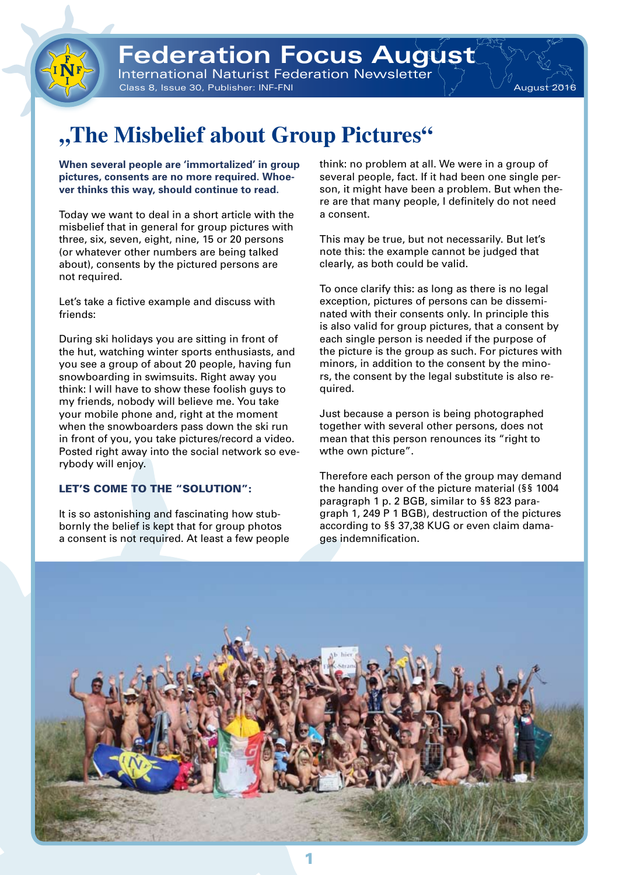

Class 8, Issue 30, Publisher: INF-FNI August 2016 - August 2016



# **"The Misbelief about Group Pictures"**

**When several people are 'immortalized' in group pictures, consents are no more required. Whoever thinks this way, should continue to read.** 

Today we want to deal in a short article with the misbelief that in general for group pictures with three, six, seven, eight, nine, 15 or 20 persons (or whatever other numbers are being talked about), consents by the pictured persons are not required.

Let's take a fictive example and discuss with friends:

During ski holidays you are sitting in front of the hut, watching winter sports enthusiasts, and you see a group of about 20 people, having fun snowboarding in swimsuits. Right away you think: I will have to show these foolish guys to my friends, nobody will believe me. You take your mobile phone and, right at the moment when the snowboarders pass down the ski run in front of you, you take pictures/record a video. Posted right away into the social network so everybody will enjoy.

### LET'S COME TO THE "SOLUTION":

It is so astonishing and fascinating how stubbornly the belief is kept that for group photos a consent is not required. At least a few people think: no problem at all. We were in a group of several people, fact. If it had been one single person, it might have been a problem. But when there are that many people, I definitely do not need a consent.

This may be true, but not necessarily. But let's note this: the example cannot be judged that clearly, as both could be valid.

To once clarify this: as long as there is no legal exception, pictures of persons can be disseminated with their consents only. In principle this is also valid for group pictures, that a consent by each single person is needed if the purpose of the picture is the group as such. For pictures with minors, in addition to the consent by the minors, the consent by the legal substitute is also required.

Just because a person is being photographed together with several other persons, does not mean that this person renounces its "right to wthe own picture".

Therefore each person of the group may demand the handing over of the picture material (§§ 1004 paragraph 1 p. 2 BGB, similar to §§ 823 paragraph 1, 249 P 1 BGB), destruction of the pictures according to §§ 37,38 KUG or even claim damages indemnification.

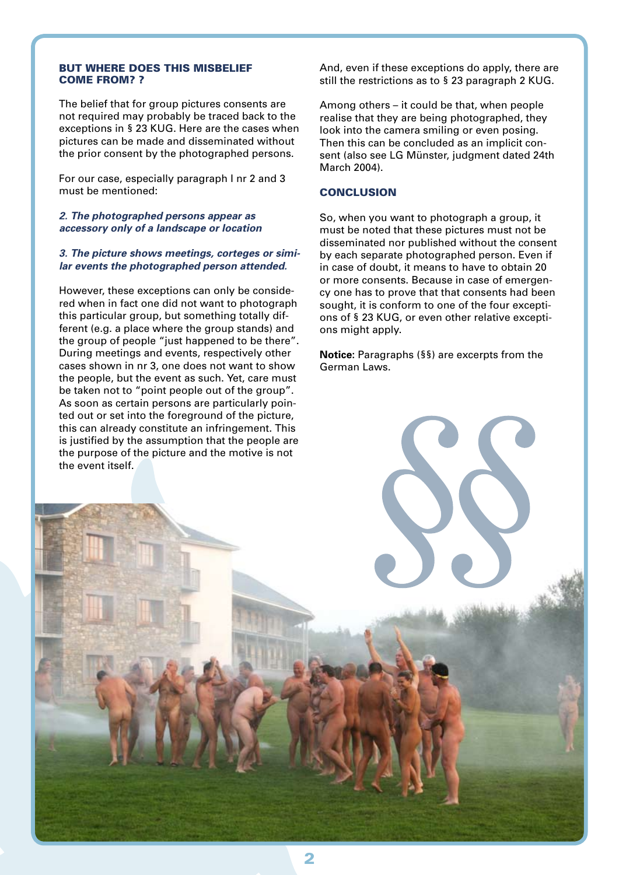#### But where does this misbelief come from? ?

The belief that for group pictures consents are not required may probably be traced back to the exceptions in § 23 KUG. Here are the cases when pictures can be made and disseminated without the prior consent by the photographed persons.

For our case, especially paragraph I nr 2 and 3 must be mentioned:

#### *2. The photographed persons appear as accessory only of a landscape or location*

#### *3. The picture shows meetings, corteges or similar events the photographed person attended.*

However, these exceptions can only be considered when in fact one did not want to photograph this particular group, but something totally different (e.g. a place where the group stands) and the group of people "just happened to be there". During meetings and events, respectively other cases shown in nr 3, one does not want to show the people, but the event as such. Yet, care must be taken not to "point people out of the group". As soon as certain persons are particularly pointed out or set into the foreground of the picture, this can already constitute an infringement. This is justified by the assumption that the people are the purpose of the picture and the motive is not the event itself.

And, even if these exceptions do apply, there are still the restrictions as to § 23 paragraph 2 KUG.

Among others – it could be that, when people realise that they are being photographed, they look into the camera smiling or even posing. Then this can be concluded as an implicit consent (also see LG Münster, judgment dated 24th March 2004).

#### **CONCLUSION**

So, when you want to photograph a group, it must be noted that these pictures must not be disseminated nor published without the consent by each separate photographed person. Even if in case of doubt, it means to have to obtain 20 or more consents. Because in case of emergency one has to prove that that consents had been sought, it is conform to one of the four exceptions of § 23 KUG, or even other relative exceptions might apply.

**Notice:** Paragraphs (§§) are excerpts from the German Laws.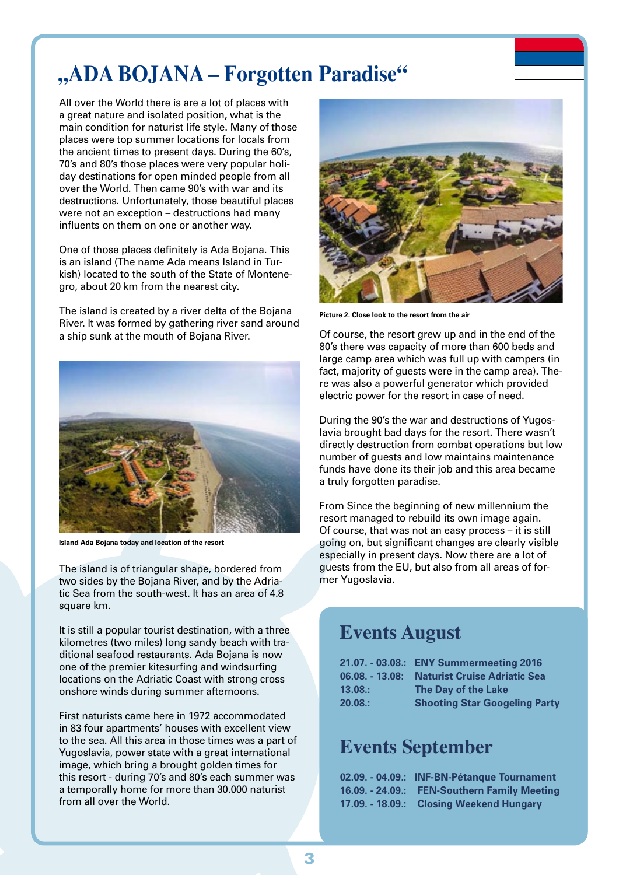## **"ADA BOJANA – Forgotten Paradise"**

All over the World there is are a lot of places with a great nature and isolated position, what is the main condition for naturist life style. Many of those places were top summer locations for locals from the ancient times to present days. During the 60's, 70's and 80's those places were very popular holiday destinations for open minded people from all over the World. Then came 90's with war and its destructions. Unfortunately, those beautiful places were not an exception – destructions had many influents on them on one or another way.

One of those places definitely is Ada Bojana. This is an island (The name Ada means Island in Turkish) located to the south of the State of Montenegro, about 20 km from the nearest city.

The island is created by a river delta of the Bojana River. It was formed by gathering river sand around a ship sunk at the mouth of Bojana River.



**Island Ada Bojana today and location of the resort** 

The island is of triangular shape, bordered from two sides by the Bojana River, and by the Adriatic Sea from the south-west. It has an area of 4.8 square km.

It is still a popular tourist destination, with a three kilometres (two miles) long sandy beach with traditional seafood restaurants. Ada Bojana is now one of the premier kitesurfing and windsurfing locations on the Adriatic Coast with strong cross onshore winds during summer afternoons.

First naturists came here in 1972 accommodated in 83 four apartments' houses with excellent view to the sea. All this area in those times was a part of Yugoslavia, power state with a great international image, which bring a brought golden times for this resort - during 70's and 80's each summer was a temporally home for more than 30.000 naturist from all over the World.



**Picture 2. Close look to the resort from the air**

Of course, the resort grew up and in the end of the 80's there was capacity of more than 600 beds and large camp area which was full up with campers (in fact, majority of guests were in the camp area). There was also a powerful generator which provided electric power for the resort in case of need.

During the 90's the war and destructions of Yugoslavia brought bad days for the resort. There wasn't directly destruction from combat operations but low number of guests and low maintains maintenance funds have done its their job and this area became a truly forgotten paradise.

From Since the beginning of new millennium the resort managed to rebuild its own image again. Of course, that was not an easy process – it is still going on, but significant changes are clearly visible especially in present days. Now there are a lot of guests from the EU, but also from all areas of former Yugoslavia.

### **Events August**

| 21.07. - 03.08.: ENY Summermeeting 2016 |
|-----------------------------------------|
| <b>Naturist Cruise Adriatic Sea</b>     |
| The Day of the Lake                     |
| <b>Shooting Star Googeling Party</b>    |
|                                         |

### **Events September**

| 02.09. - 04.09.: INF-BN-Pétanque Tournament  |
|----------------------------------------------|
| 16.09. - 24.09.: FEN-Southern Family Meeting |
| 17.09. - 18.09.: Closing Weekend Hungary     |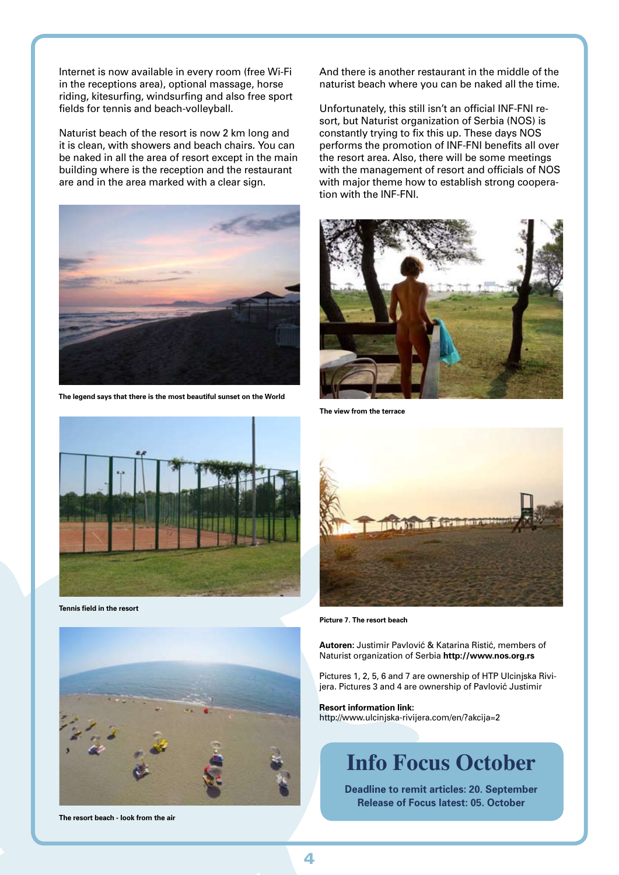Internet is now available in every room (free Wi-Fi in the receptions area), optional massage, horse riding, kitesurfing, windsurfing and also free sport fields for tennis and beach-volleyball.

Naturist beach of the resort is now 2 km long and it is clean, with showers and beach chairs. You can be naked in all the area of resort except in the main building where is the reception and the restaurant are and in the area marked with a clear sign.



**The legend says that there is the most beautiful sunset on the World**

And there is another restaurant in the middle of the naturist beach where you can be naked all the time.

Unfortunately, this still isn't an official INF-FNI resort, but Naturist organization of Serbia (NOS) is constantly trying to fix this up. These days NOS performs the promotion of INF-FNI benefits all over the resort area. Also, there will be some meetings with the management of resort and officials of NOS with major theme how to establish strong cooperation with the INF-FNI.



**The view from the terrace**



**Tennis field in the resort**



**The resort beach - look from the air** 



**Picture 7. The resort beach**

**Autoren:** Justimir Pavlović & Katarina Ristić, members of Naturist organization of Serbia **http://www.nos.org.rs**

Pictures 1, 2, 5, 6 and 7 are ownership of HTP Ulcinjska Rivijera. Pictures 3 and 4 are ownership of Pavlović Justimir

**Resort information link:**  http://www.ulcinjska-rivijera.com/en/?akcija=2

## **Info Focus October**

**Deadline to remit articles: 20. September Release of Focus latest: 05. October**